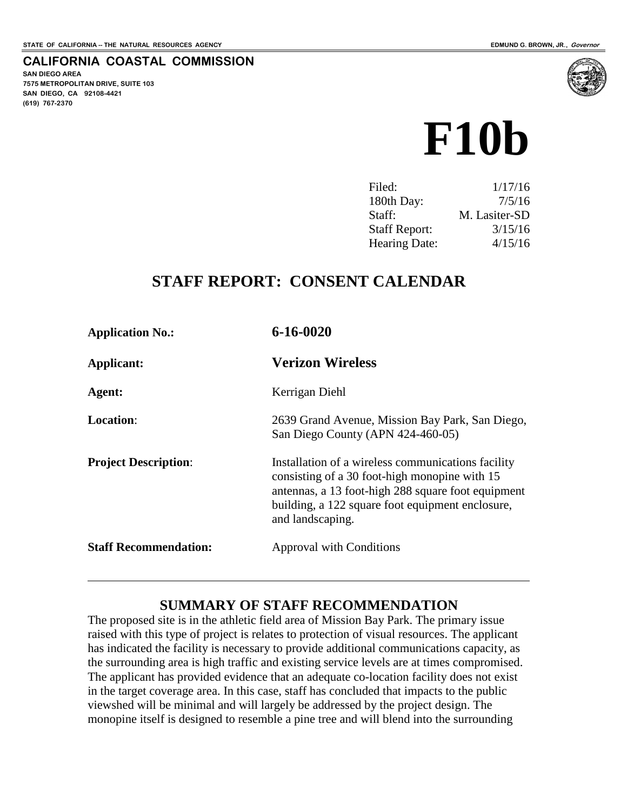#### **CALIFORNIA COASTAL COMMISSION**

**SAN DIEGO AREA 7575 METROPOLITAN DRIVE, SUITE 103 SAN DIEGO, CA 92108-4421 (619) 767-2370**

 $\overline{a}$ 



| 1/17/16       |
|---------------|
| 7/5/16        |
| M. Lasiter-SD |
| 3/15/16       |
| 4/15/16       |
|               |

# **STAFF REPORT: CONSENT CALENDAR**

| <b>Application No.:</b>      | $6 - 16 - 0020$                                                                                                                                                                                                                   |
|------------------------------|-----------------------------------------------------------------------------------------------------------------------------------------------------------------------------------------------------------------------------------|
| Applicant:                   | <b>Verizon Wireless</b>                                                                                                                                                                                                           |
| Agent:                       | Kerrigan Diehl                                                                                                                                                                                                                    |
| <b>Location:</b>             | 2639 Grand Avenue, Mission Bay Park, San Diego,<br>San Diego County (APN 424-460-05)                                                                                                                                              |
| <b>Project Description:</b>  | Installation of a wireless communications facility<br>consisting of a 30 foot-high monopine with 15<br>antennas, a 13 foot-high 288 square foot equipment<br>building, a 122 square foot equipment enclosure,<br>and landscaping. |
| <b>Staff Recommendation:</b> | Approval with Conditions                                                                                                                                                                                                          |

### **SUMMARY OF STAFF RECOMMENDATION**

The proposed site is in the athletic field area of Mission Bay Park. The primary issue raised with this type of project is relates to protection of visual resources. The applicant has indicated the facility is necessary to provide additional communications capacity, as the surrounding area is high traffic and existing service levels are at times compromised. The applicant has provided evidence that an adequate co-location facility does not exist in the target coverage area. In this case, staff has concluded that impacts to the public viewshed will be minimal and will largely be addressed by the project design. The monopine itself is designed to resemble a pine tree and will blend into the surrounding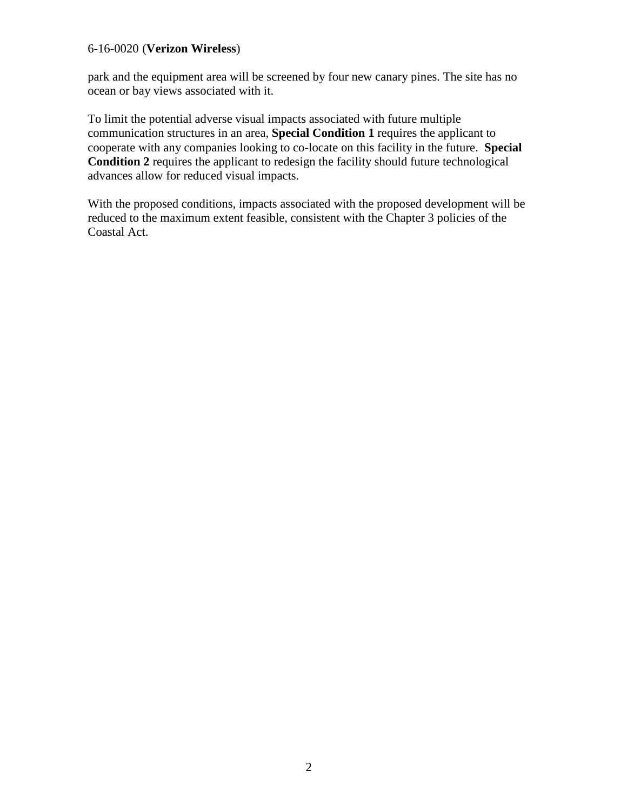#### 6-16-0020 (**Verizon Wireless**)

park and the equipment area will be screened by four new canary pines. The site has no ocean or bay views associated with it.

To limit the potential adverse visual impacts associated with future multiple communication structures in an area, **Special Condition 1** requires the applicant to cooperate with any companies looking to co-locate on this facility in the future. **Special Condition 2** requires the applicant to redesign the facility should future technological advances allow for reduced visual impacts.

With the proposed conditions, impacts associated with the proposed development will be reduced to the maximum extent feasible, consistent with the Chapter 3 policies of the Coastal Act.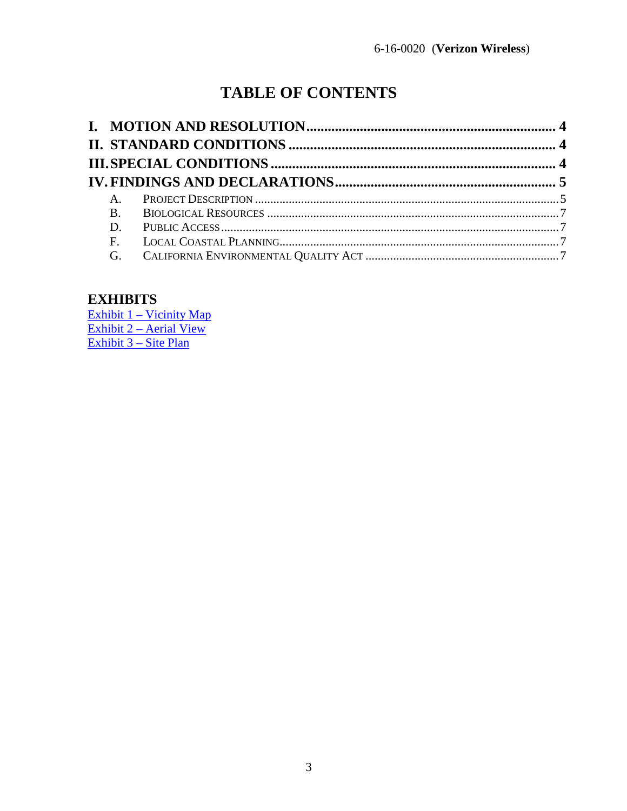# **TABLE OF CONTENTS**

| $A_{\cdot}$ |  |
|-------------|--|
| <b>B.</b>   |  |
|             |  |
| F.          |  |
| G.          |  |

# **EXHIBITS**

 $\frac{Exhibit 1 - Vicinity Map}{Exhibit 2 - Aerial View}$ Exhibit 3 – Site Plan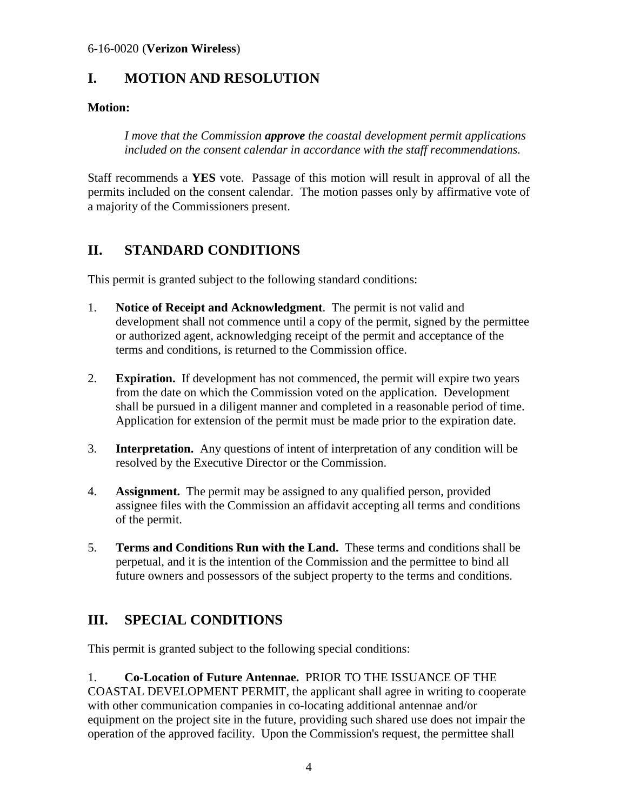# <span id="page-3-0"></span>**I. MOTION AND RESOLUTION**

### **Motion:**

*I move that the Commission approve the coastal development permit applications included on the consent calendar in accordance with the staff recommendations.* 

Staff recommends a **YES** vote. Passage of this motion will result in approval of all the permits included on the consent calendar. The motion passes only by affirmative vote of a majority of the Commissioners present.

# <span id="page-3-1"></span>**II. STANDARD CONDITIONS**

This permit is granted subject to the following standard conditions:

- 1. **Notice of Receipt and Acknowledgment**. The permit is not valid and development shall not commence until a copy of the permit, signed by the permittee or authorized agent, acknowledging receipt of the permit and acceptance of the terms and conditions, is returned to the Commission office.
- 2. **Expiration.** If development has not commenced, the permit will expire two years from the date on which the Commission voted on the application. Development shall be pursued in a diligent manner and completed in a reasonable period of time. Application for extension of the permit must be made prior to the expiration date.
- 3. **Interpretation.** Any questions of intent of interpretation of any condition will be resolved by the Executive Director or the Commission.
- 4. **Assignment.** The permit may be assigned to any qualified person, provided assignee files with the Commission an affidavit accepting all terms and conditions of the permit.
- 5. **Terms and Conditions Run with the Land.** These terms and conditions shall be perpetual, and it is the intention of the Commission and the permittee to bind all future owners and possessors of the subject property to the terms and conditions.

# <span id="page-3-2"></span>**III. SPECIAL CONDITIONS**

This permit is granted subject to the following special conditions:

1. **Co-Location of Future Antennae.** PRIOR TO THE ISSUANCE OF THE COASTAL DEVELOPMENT PERMIT, the applicant shall agree in writing to cooperate with other communication companies in co-locating additional antennae and/or equipment on the project site in the future, providing such shared use does not impair the operation of the approved facility. Upon the Commission's request, the permittee shall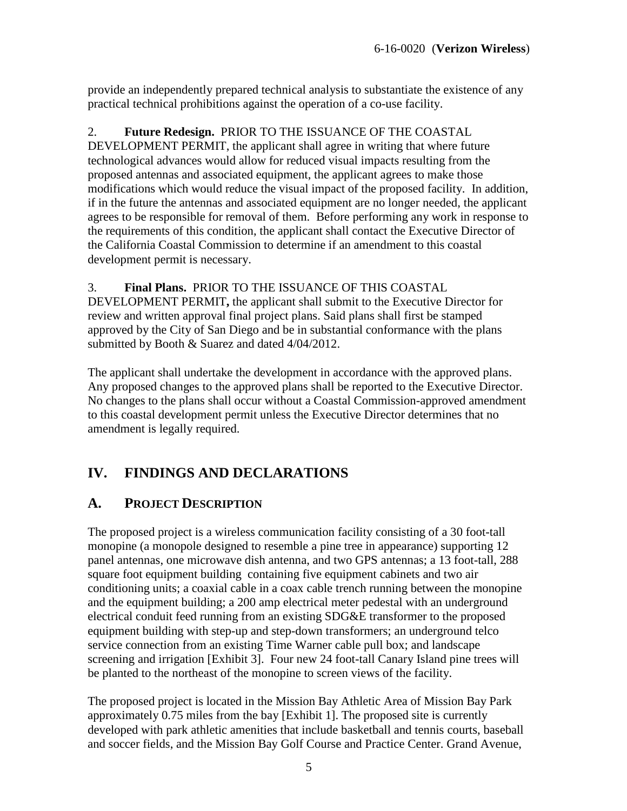provide an independently prepared technical analysis to substantiate the existence of any practical technical prohibitions against the operation of a co-use facility.

#### 2. **Future Redesign.** PRIOR TO THE ISSUANCE OF THE COASTAL

DEVELOPMENT PERMIT, the applicant shall agree in writing that where future technological advances would allow for reduced visual impacts resulting from the proposed antennas and associated equipment, the applicant agrees to make those modifications which would reduce the visual impact of the proposed facility. In addition, if in the future the antennas and associated equipment are no longer needed, the applicant agrees to be responsible for removal of them. Before performing any work in response to the requirements of this condition, the applicant shall contact the Executive Director of the California Coastal Commission to determine if an amendment to this coastal development permit is necessary.

#### 3. **Final Plans.** PRIOR TO THE ISSUANCE OF THIS COASTAL

DEVELOPMENT PERMIT**,** the applicant shall submit to the Executive Director for review and written approval final project plans. Said plans shall first be stamped approved by the City of San Diego and be in substantial conformance with the plans submitted by Booth & Suarez and dated 4/04/2012.

The applicant shall undertake the development in accordance with the approved plans. Any proposed changes to the approved plans shall be reported to the Executive Director. No changes to the plans shall occur without a Coastal Commission-approved amendment to this coastal development permit unless the Executive Director determines that no amendment is legally required.

# <span id="page-4-0"></span>**IV. FINDINGS AND DECLARATIONS**

### <span id="page-4-1"></span>**A. PROJECT DESCRIPTION**

The proposed project is a wireless communication facility consisting of a 30 foot-tall monopine (a monopole designed to resemble a pine tree in appearance) supporting 12 panel antennas, one microwave dish antenna, and two GPS antennas; a 13 foot-tall, 288 square foot equipment building containing five equipment cabinets and two air conditioning units; a coaxial cable in a coax cable trench running between the monopine and the equipment building; a 200 amp electrical meter pedestal with an underground electrical conduit feed running from an existing SDG&E transformer to the proposed equipment building with step-up and step-down transformers; an underground telco service connection from an existing Time Warner cable pull box; and landscape screening and irrigation [Exhibit 3]. Four new 24 foot-tall Canary Island pine trees will be planted to the northeast of the monopine to screen views of the facility.

The proposed project is located in the Mission Bay Athletic Area of Mission Bay Park approximately 0.75 miles from the bay [Exhibit 1]. The proposed site is currently developed with park athletic amenities that include basketball and tennis courts, baseball and soccer fields, and the Mission Bay Golf Course and Practice Center. Grand Avenue,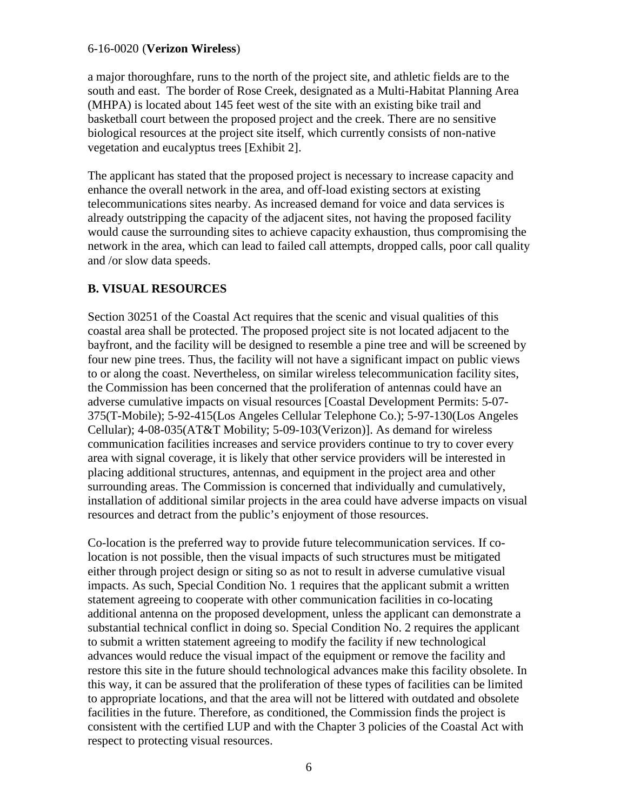#### 6-16-0020 (**Verizon Wireless**)

a major thoroughfare, runs to the north of the project site, and athletic fields are to the south and east. The border of Rose Creek, designated as a Multi-Habitat Planning Area (MHPA) is located about 145 feet west of the site with an existing bike trail and basketball court between the proposed project and the creek. There are no sensitive biological resources at the project site itself, which currently consists of non-native vegetation and eucalyptus trees [Exhibit 2].

The applicant has stated that the proposed project is necessary to increase capacity and enhance the overall network in the area, and off-load existing sectors at existing telecommunications sites nearby. As increased demand for voice and data services is already outstripping the capacity of the adjacent sites, not having the proposed facility would cause the surrounding sites to achieve capacity exhaustion, thus compromising the network in the area, which can lead to failed call attempts, dropped calls, poor call quality and /or slow data speeds.

#### **B. VISUAL RESOURCES**

Section 30251 of the Coastal Act requires that the scenic and visual qualities of this coastal area shall be protected. The proposed project site is not located adjacent to the bayfront, and the facility will be designed to resemble a pine tree and will be screened by four new pine trees. Thus, the facility will not have a significant impact on public views to or along the coast. Nevertheless, on similar wireless telecommunication facility sites, the Commission has been concerned that the proliferation of antennas could have an adverse cumulative impacts on visual resources [Coastal Development Permits: 5-07- 375(T-Mobile); 5-92-415(Los Angeles Cellular Telephone Co.); 5-97-130(Los Angeles Cellular); 4-08-035(AT&T Mobility; 5-09-103(Verizon)]. As demand for wireless communication facilities increases and service providers continue to try to cover every area with signal coverage, it is likely that other service providers will be interested in placing additional structures, antennas, and equipment in the project area and other surrounding areas. The Commission is concerned that individually and cumulatively, installation of additional similar projects in the area could have adverse impacts on visual resources and detract from the public's enjoyment of those resources.

Co-location is the preferred way to provide future telecommunication services. If colocation is not possible, then the visual impacts of such structures must be mitigated either through project design or siting so as not to result in adverse cumulative visual impacts. As such, Special Condition No. 1 requires that the applicant submit a written statement agreeing to cooperate with other communication facilities in co-locating additional antenna on the proposed development, unless the applicant can demonstrate a substantial technical conflict in doing so. Special Condition No. 2 requires the applicant to submit a written statement agreeing to modify the facility if new technological advances would reduce the visual impact of the equipment or remove the facility and restore this site in the future should technological advances make this facility obsolete. In this way, it can be assured that the proliferation of these types of facilities can be limited to appropriate locations, and that the area will not be littered with outdated and obsolete facilities in the future. Therefore, as conditioned, the Commission finds the project is consistent with the certified LUP and with the Chapter 3 policies of the Coastal Act with respect to protecting visual resources.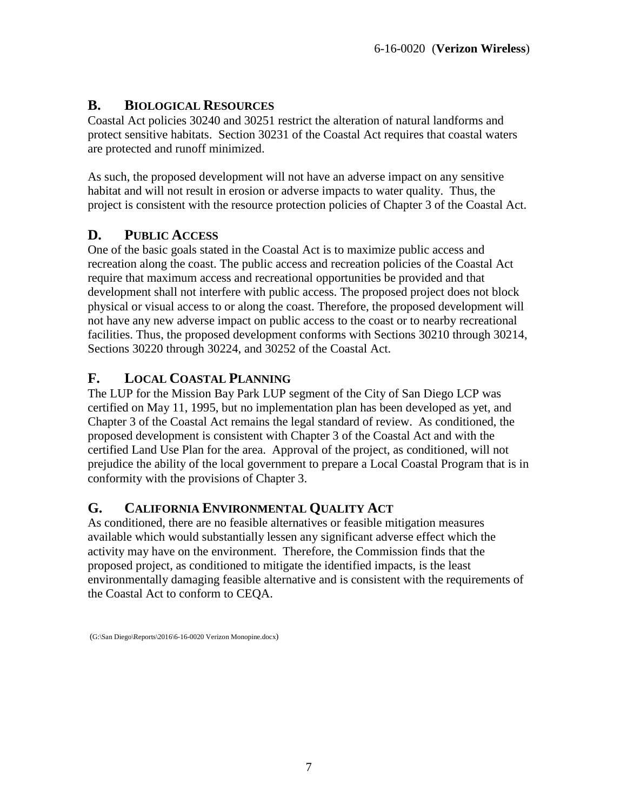## <span id="page-6-0"></span>**B. BIOLOGICAL RESOURCES**

Coastal Act policies 30240 and 30251 restrict the alteration of natural landforms and protect sensitive habitats. Section 30231 of the Coastal Act requires that coastal waters are protected and runoff minimized.

As such, the proposed development will not have an adverse impact on any sensitive habitat and will not result in erosion or adverse impacts to water quality. Thus, the project is consistent with the resource protection policies of Chapter 3 of the Coastal Act.

# <span id="page-6-1"></span>**D. PUBLIC ACCESS**

One of the basic goals stated in the Coastal Act is to maximize public access and recreation along the coast. The public access and recreation policies of the Coastal Act require that maximum access and recreational opportunities be provided and that development shall not interfere with public access. The proposed project does not block physical or visual access to or along the coast. Therefore, the proposed development will not have any new adverse impact on public access to the coast or to nearby recreational facilities. Thus, the proposed development conforms with Sections 30210 through 30214, Sections 30220 through 30224, and 30252 of the Coastal Act.

# <span id="page-6-2"></span>**F. LOCAL COASTAL PLANNING**

The LUP for the Mission Bay Park LUP segment of the City of San Diego LCP was certified on May 11, 1995, but no implementation plan has been developed as yet, and Chapter 3 of the Coastal Act remains the legal standard of review. As conditioned, the proposed development is consistent with Chapter 3 of the Coastal Act and with the certified Land Use Plan for the area. Approval of the project, as conditioned, will not prejudice the ability of the local government to prepare a Local Coastal Program that is in conformity with the provisions of Chapter 3.

## <span id="page-6-3"></span>**G. CALIFORNIA ENVIRONMENTAL QUALITY ACT**

As conditioned, there are no feasible alternatives or feasible mitigation measures available which would substantially lessen any significant adverse effect which the activity may have on the environment. Therefore, the Commission finds that the proposed project, as conditioned to mitigate the identified impacts, is the least environmentally damaging feasible alternative and is consistent with the requirements of the Coastal Act to conform to CEQA.

 <sup>(</sup>G:\San Diego\Reports\2016\6-16-0020 Verizon Monopine.docx)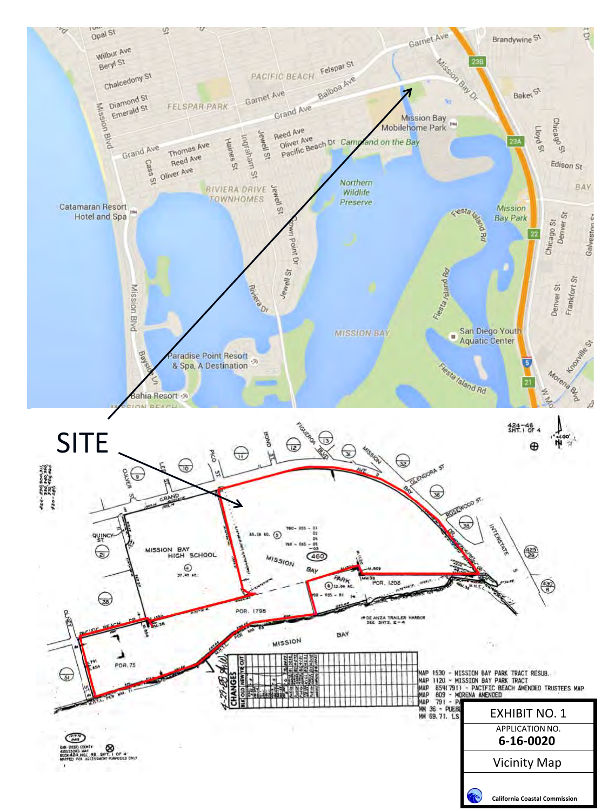<span id="page-7-0"></span>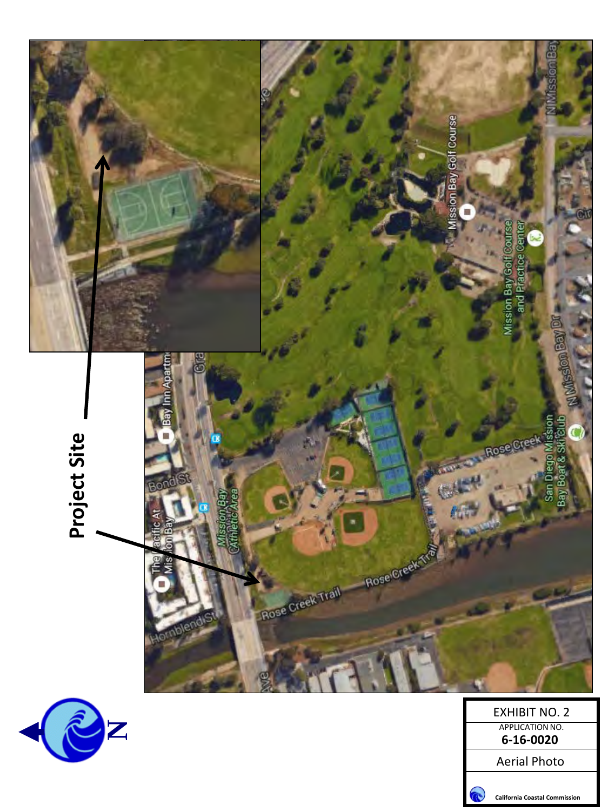<span id="page-8-0"></span>![](_page_8_Picture_0.jpeg)

Aerial Photo

![](_page_8_Picture_2.jpeg)

**California Coastal Commission**